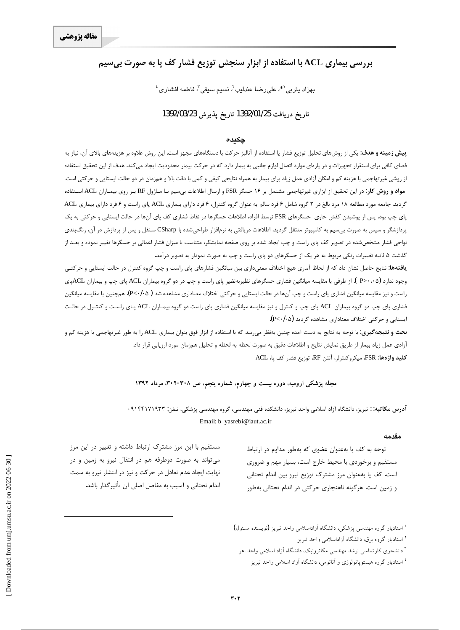# **بررسی بیماری ACL با استفاده از ابزار سنجش توزیع فشار کف یا به صورت بی سیم**

 $^{\rm s}$ بهزاد یثربی $^{\rm *}$  علیرضا عندلیب $^{\rm v}$ ، نسیم سیفی $^{\rm v}$  فاطمه افشاری

## **1392/03/23Ë~axËZe 1392/01/25d§ZË{xËZe**

#### چكى*دە*

**پیش زمینه و هدف**: یکی از روشهای تحلیل توزیع فشار پا استفاده از آنالیز حرکت با دستگاههای مجهز است. این روش علاوه بر هزینههای بالای آن، نیاز به فضای کافی برای استقرار تجهیزات و در پارهای موارد اتصال لوازم جانبی به بیمار ده که در حرکت بیمار محدودیت ایجاد میکند. هدف از این تحقیق استفاده از روشي غيرتهاجمي با هزينه كم و امكان آزادي عمل زياد براي بيمار به همراه نتايجي كيفي و كمي با دقت بالا و همزمان در دو حالت ايستايي و حركتي است. **مواد و روش کار**: در این تحقیق از ابزاری غیرتهاجمی مشتمل بر ۱۶ حسگر FSR و ارسال اطلاعات بی سیم بـا مـاژول RF بـر روی بیمـاران ACL اسـتفاده گردید. جامعه مورد مطالعه ۱۸ مرد بالغ در ۳ گروه شامل ۶ فرد سالم به عنوان گروه کنترل، ۶ فرد دارای بیماری عاکل فر پای چپ بود. پس از پوشیدن کفش حاوی حسگرهای FSR توسط افراد، اطلاعات حسگرها در نقاط فشاری کف پای آنها در حالت ایستایی و حرکتی به یک پردازشگر و سپس به صورت بیسیم به کامپیوتر منتقل گردید. اطلاعات دریافتی به نرم|فزار طراحیشده با CSharp منتقل و پس از پردازش در آن، رنگبندی نواحی فشار مشخصشده در تصویر کف پای راست و چپ ایجاد شده بر روی صفحه نمایشگر، متناسب با میزان فشار اعمالی بر حسگرها تغییر نموده و بعـد از گذشت ۵ ثانیه تغییرات رنگی مربوط به هر یک از حسگرهای دو پای راست و چپ به صورت نمودار به تصویر درآمد.

ی**افتهها**: نتایج حاصل نشان داد که از لحاظ آماری هیچ اختلاف معنیداری بین میانگین فشارهای پای راست و چپ گروه کنترل در حالت ایستایی و حرکتـی وجود ندارد (P>۰۰۵ ). از طرفی با مقایسه میانگین فشاری حسگرهای نظیربهنظیر پای راست و چپ در دو گروه بیماران ACL پای چپ و بیماران ACLبای راست و نيز مقايسه ميانگين فشاري پاي راست و چپ آنها در حالت ايستايي و حركتي اختلاف معناداري مشاهده شد ( P<٠/٠۵). همچنين با مقايسه ميانگين فشاري پاي چپ دو گروه بيماران ACL پاي چپ و كنترل و نيز مقايسه ميانگين فشاري پاي راست دو گروه بيمـاران ACL پـاي راسـت و كنتـرل در حالـت ايستايي و حركتي اختلاف معناداري مشاهده گرديد (P<٠/٠۵).

**بحث و نتيجه گيري:** با توجه به نتايج به دست آمده چنين بهنظر م<sub>عر</sub>سد كه با استفاده از ابزار فوق بتوان بيماري ACL را به طور غيرتهاجمي با هزينه كم و آزادي عمل زياد بيمار از طريق نمايش نتايج و اطلاعات دقيق به صورت لحظه به لحظه و تحليل همزمان مورد ارزيابي قرار داد. **ACL** كليد واژهها: FSR، ميكروكنترلر، آنتن RF، توزيع فشار كف پا، ACL

#### مجله پزشکی ارومیه، دوره بیست و چهارم، شماره پنجم، ص ۳۰۸-۳۰۲، مرداد ۱۳۹۲

<mark>آدرس مکاتبه</mark>∷ تبریز، دانشگاه آزاد اسلامی واحد تبریز، دانشکده فنی مهندسی، گروه مهندسی پزشکی، تلفن: ۹۱۴۴۱۷۱۹۳۰ • Email: b\_yasrebi@iaut.ac.ir

#### **مقدمه**

توجه به كف يا بهعنوان عضوى كه بهطور مداوم در ارتباط مستقیم و برخوردی با محیط خارج است، بسیار مهم و ضروری است. کف پا بهعنوان مرز مشترک توزیع نیرو بین اندام تحتانی و زمین است. هرگونه ناهنجاری حرکتی در اندام تحتانی بهطور

مستقیم با این مرز مشترک ارتباط داشته و تغییر در این مرز می تواند به صورت دوطرفه هم در انتقال نیرو به زمین و در نهایت ایجاد عدم تعادل در حرکت و نیز در انتشار نیرو به سمت اندام تحتاني و آسيب به مفاصل اصلي آن تأثير گذار باشد.

> ٔ استادیار گروه مهندسی پزشکی، دانشگاه آزاداسلامی واحد تبریز (نویسنده مسئول) <sup>۲</sup> استادیار گروه برق، دانشگاه آزاداسلامی واحد تبریز

<sup>۳</sup> دانشجوی کارشناسی ارشد مهندسی مکاترونیک، دانشگاه آزاد اسلامی واحد اهر

<sup>؛</sup> استادیار گروه هیستوپاتولوژی و آناتومی، دانشگاه آزاد اسلامی واحد تبریز

 $\overline{a}$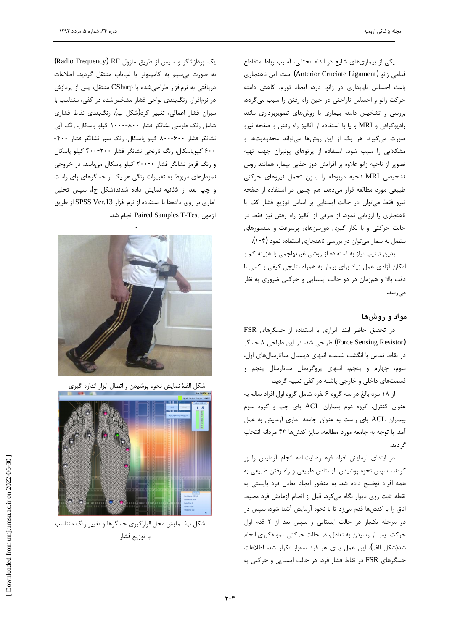یکی از بیماریهای شایع در اندام تحتانی، آسیب رباط متقاطع قدامی زانو (Anterior Cruciate Ligament) است. این ناهنجاری باعث احساس ناپایداری در زانو، درد، ایجاد تورم، کاهش دامنه خركت زانو و احساس ناراحتى در حين راه رفتن را سبب مى گردد. بررسی و تشخیص دامنه بیماری با روشهای تصویربرداری مانند راديوكرافي و MRI و يا با استفاده از آناليز راه رفتن و صفحه نيرو صورت میگیرد. هر یک از این روشها میتواند محدودیتها و مشکلاتی را سبب شود. استفاده از پرتوهای یونیزان جهت تهیه تصوير از ناحيه زانو علاوه بر افزايش دوز جذبي بيمار، همانند روش تشخیصی MRI ناحیه مربوطه را بدون تحمل نیروهای حرکتی طبیعی مورد مطالعه قرار میدهد. هم چنین در استفاده از صفحه نيرو فقط مى توان در حالت ايستايى بر اساس توزيع فشار كف پا ناهنجاري را ارزيابي نمود. از طرفي از آناليز راه رفتن نيز فقط در حالت حرکتی و با بکار گیری دوربینهای پرسرعت و سنسورهای

متصل به بیمار میتوان در بررسی ناهنجاری استفاده نمود (۴-۱). بدین ترتیب نیاز به استفاده از روشی غیرتهاجمی با هزینه کم و امکان آزادی عمل زیاد برای بیمار به همراه نتایجی کیفی و کمی با دقت بالا و همزمان در دو حالت ایستایی و حرکتی ضروری به نظر مىرسد.

# مواد و روشها

در تحقيق حاضر ابتدا ابزارى با استفاده از حسكرهاى FSR (Force Sensing Resistor) طراحی شد. در این طراحی ۸ حسگر در نقاط تماس با انگشت شست، انتهای دیستال متاتارسالهای اول، سوم، چهارم و پنجم، انتهای پروگزیمال متاتارسال پنجم و قسمتهای داخلی و خارجی پاشنه در کفی تعبیه گردید.

از ١٨ مرد بالغ در سه گروه ۶ نفره شامل گروه اول افراد سالم به عنوان كنترل، گروه دوم بيماران ACL پاى چپ و گروه سوم بيماران ACL پاى راست به عنوان جامعه آمارى آزمايش به عمل آمد. با توجه به جامعه مورد مطالعه، سايز كفشها ۴۳ مردانه انتخاب گر دید.

در ابتداى آزمايش افراد فرم رضايتنامه انجام آزمايش را پر كردند. سپس نحوه پوشيدن، ايستادن طبيعي و راه رفتن طبيعي به همه افراد توضيح داده شد. به منظور ايجاد تعادل فرد بايستي به نقطه ثابت روى ديوار نگاه مىكرد. قبل از انجام آزمايش فرد محيط اتاق را با كفشها قدم مىزد تا با نحوه آزمايش آشنا شود. سپس در دو مرحله یکبار در حالت ایستایی و سپس بعد از ۲ قدم اول حرکت، پس از رسیدن به تعادل، در حالت حرکتی، نمونهگیری انجام شد(شكل الف). اين عمل براي هر فرد سهبار تكرار شد. اطلاعات حسگرهای FSR در نقاط فشار فرد، در حالت ایستایی و حرکتی به

یک پردازشگر و سپس از طریق ماژول Radio Frequency) RF به صورت بیسیم به کامپیوتر یا لپتاپ منتقل گردید. اطلاعات دریافتی به نرمافزار طراحیشده با CSharp منتقل، پس از پردازش در نرمافزار، رنگ بندی نواحی فشار مشخص شده در کفی، متناسب با میزان فشار اعمالی، تغییر کرد(شکل ب). رنگبندی نقاط فشاری شامل رنگ طوسی نشانگر فشار ۸۰۰-۱۰۰۰ کیلو پاسکال، رنگ آبی نشانگر فشار ۶۰۰-۸۰۰ کیلو پاسکال، رنگ سبز نشانگر فشار ۴۰۰-۶۰۰ کیوپاسکال، رنگ نارنجی نشانگر فشار ۲۰۰-۴۰۰ کیلو پاسکال و رنگ قرمز نشانگر فشار ۲۰۰۰۰ کیلو پاسکال میباشد. در خروجی نمودارهای مربوط به تغییرات رنگی هر یک از حسگرهای پای راست و چپ بعد از ۵ثانیه نمایش داده شدند(شکل ج). سپس تحلیل آماری بر روی دادهها با استفاده از نرم افزار SPSS Ver.13 از طريق آزمون Paired Samples T-Test انجام شد. ֺ







شکل ب: نمایش محل قرارگیری حسگرها و تغییر رنگ متناسب با توزيع فشار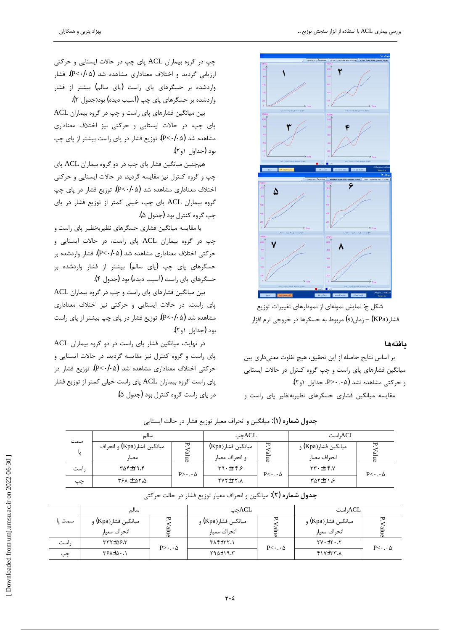

شکل ج: نمایش نمونهای از نمودارهای تغییرات توزیع فشار (KPa) – زمان(s) مربوط به حسگرها در خروجي نرم افزار

## **مافت**ەھا

بر اساس نتايج حاصله از اين تحقيق، هيچ تفاوت معنىدارى بين میانگین فشارهای پای راست و چپ گروه کنترل در حالات ایستایی و حركتي مشاهده نشد (P>۰.۰۵م). جداول ١و٢). مقايسه ميانكين فشارى حسكرهاى نظيربهنظير پاى راست و

چپ در گروه بیماران ACL پای چپ در حالات ایستایی و حرکتی ارزيابي گرديد و اختلاف معناداري مشاهده شد (P<٠/٠۵). فشار واردشده بر حسگرهای پای راست (پای سالم) بیشتر از فشار واردشده بر حسگرهای پای چپ (آسیب دیده) بود(جدول ۳).

ACL بين ميانگين فشارهاى پاى راست و چپ در گروه بيماران پای چپ، در حالات ایستایی و حرکتی نیز اختلاف معناداری مشاهده شد (P<٠/٠۵). توزيع فشار در ياي راست بيشتر از ياي چپ بود (جداول ۱و۲).

همچنین میانگین فشار پای چپ در دو گروه بیماران ACL پای چپ و گروه کنترل نیز مقایسه گردید. در حالات ایستایی و حرکتی اختلاف معناداری مشاهده شد (P<٠/٠۵). توزیع فشار در پای چپ گروه بيماران ACL پاى چپ، خيلى كمتر از توزيع فشار در پاى چپ گروه کنترل بود (جدول ۵).

با مقایسه میانگین فشاری حسگرهای نظیربهنظیر پای راست و چپ در گروه بیماران ACL پای راست، در حالات ایستایی و حركتي اختلاف معناداري مشاهده شد (P<٠/٠۵). فشار واردشده بر حسگرهای پای چپ (پای سالم) بیشتر از فشار واردشده بر حسگرهای یای راست (آسیب دیده) بود (جدول ۴).

بین میانگین فشارهای پای راست و چپ در گروه بیماران ACL پای راست، در حالات ایستایی و حرکتی نیز اختلاف معناداری مشاهده شد (P<٠/٠۵). توزيع فشار در پاي چپ بيشتر از پاي راست بود (جداول ۱و۲).

در نهایت، میانگین فشار پای راست در دو گروه بیماران ACL پای راست و گروه کنترل نیز مقایسه گردید. در حالات ایستایی و حركتي اختلاف معناداري مشاهده شد (P<٠/٠۵). توزيع فشار در پای راست گروه بیماران ACL پای راست خیلی کمتر از توزیع فشار در پای راست گروه کنترل بود (جدول ۵).

|     | سالم                       |                                | ـACLمحب           |                           | ACL, است                   |                           |  |
|-----|----------------------------|--------------------------------|-------------------|---------------------------|----------------------------|---------------------------|--|
| سمت | ميانگين فشار(Kpa) و انحراف | ᠸ                              | ميانگين فشار(Kpa) | ヷ                         | ميانگين فشار(Kpa) و        | ᄓ                         |  |
| پا  | معيار                      |                                | و انحراف معيار    |                           | انحراف معيار               |                           |  |
| است | ۳۵۴±۲۹،۴                   | $P > \cdot \cdot \cdot \Delta$ | $9.71 + 79$       | $P<\cdot\cdot\cdot\Delta$ | $YY + YY$                  | $P<\cdot\cdot\cdot\Delta$ |  |
| چپ  | <b>ASA ± AT.A</b>          |                                | VYITTY.           |                           | $Y\Delta Y \pm Y \Delta Y$ |                           |  |

ج**دول شماره (۱**): ميانگين و انحراف معيار توزيع فشار در حالت ايستايي

| ج <b>دول شماره (٢)</b> : ميانگين و انحراف معيار توزيع فشار در حالت حركتي |  |  |  |
|--------------------------------------------------------------------------|--|--|--|
|--------------------------------------------------------------------------|--|--|--|

|        | سالم                |                                | ACLجپ               |                           | ACL, است                 |                           |  |
|--------|---------------------|--------------------------------|---------------------|---------------------------|--------------------------|---------------------------|--|
| سمت یا | ميانگين فشار(Kpa) و | ≖                              | ميانگين فشار(Kpa) و |                           | ميانگين فشار(Kpa) و      |                           |  |
|        | انحراف معيار        |                                | انحراف معيار        |                           | انحراف معيار             |                           |  |
| است    | ۳۳۲±۵۶.۳            | $P > \cdot \cdot \cdot \Delta$ | <b>۱، ۲۸۴</b> ±۳۲   | $P<\cdot\cdot\cdot\Delta$ | $YV \cdot \pm Y \cdot Y$ | $P<\cdot\cdot\cdot\Delta$ |  |
| چپ     | T & + 4 + 7         |                                | Y90±19.7            |                           | $\lambda$ , $\Upsilon$   |                           |  |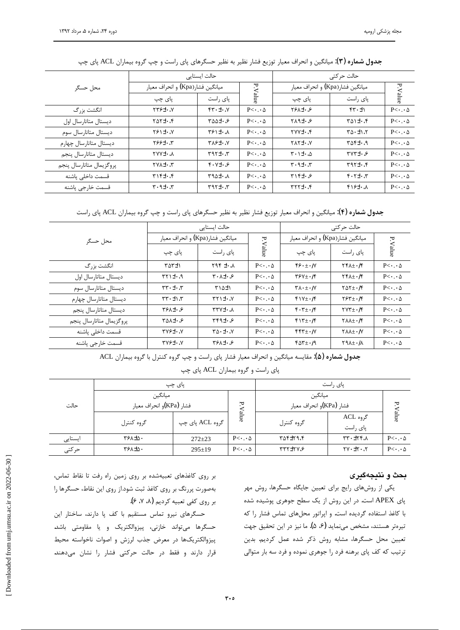|                          |                                            | حالت ایستایی                       |                           | حالت حر کتی                              |                                      |                           |
|--------------------------|--------------------------------------------|------------------------------------|---------------------------|------------------------------------------|--------------------------------------|---------------------------|
| محل حسگر                 | ميانگين فشار(Kpa) و انحراف معيار           |                                    |                           | ميانگين فشار(Kpa) و انحراف معيار         |                                      |                           |
|                          | یای چپ                                     | یای ,است                           | P.Value                   | پای چپ                                   | یای ,است                             | P. Value                  |
| انگشت بزرگ               | $YY5 + Y$                                  | $Y - t - Y$                        | $P<\cdot\cdot\cdot\Delta$ | <b>YSA±</b> . &                          | $f(\cdot \pm)$                       | $P<\cdot\cdot\cdot\Delta$ |
| دیستال متاتارسال اول     | 7.151                                      | $Y\Delta\Delta\pm\cdot\mathcal{S}$ | $P<\cdot\cdot\cdot\Delta$ | $Y\Lambda$ 9 $\pm$ . $\mathcal{S}$       | $T \Delta$ $+ \cdot f$               | $P<\cdot\cdot\cdot\Delta$ |
| دیستال متاتارسال سوم     | $Y$ ۶۱±۰. $Y$                              | $Y$ ۶۱±۰ $\Lambda$                 | $P<\cdot\cdot\cdot\Delta$ | $YVY_{\pm} \cdot f$                      | $T \Delta \cdot \pm 1.7$             | $P<\cdot\cdot\cdot\Delta$ |
| دیستال متاتارسال چهارم   | $Y99\pm Y$                                 | $Y \wedge Y^{\perp} \cdot \wedge$  | $P<\cdot\cdot\cdot\Delta$ | $V \cdot \pm Y \wedge Y$                 | $P \Delta f \pm \cdot .9$            | $P<\cdot\cdot\cdot\Delta$ |
| ديستال متاتارسال ينجم    | XYY± A                                     | $T \cdot \pm 7P$                   | $P<\cdot\cdot\cdot\Delta$ | $\forall \cdot \exists \pm \cdot \Delta$ | $YVY_{\pm} \cdot \mathcal{S}$        | $P<\cdot\cdot\cdot\Delta$ |
| يروگزيمال متاتارسال ينجم | TVA±. J                                    | $f \cdot V \pm \cdot 5$            | $P<\cdot\cdot\cdot\Delta$ | $T \cdot 9 + \cdot T$                    | 7.157                                | $P<\cdot\cdot\cdot\Delta$ |
| قسمت داخلي ياشنه         | $\uparrow$ . $\uparrow$ $\uparrow$         | $A + 2A + 3A$                      | $P<\cdot\cdot\cdot\Delta$ | $Y \setminus f \pm \cdot \mathcal{S}$    | $\gamma$ . $\pm$ $\gamma$ . $\gamma$ | $P<\cdot\cdot\cdot\Delta$ |
| قسمت خارجى ياشنه         | $\mathbf{r} \cdot \mathbf{t} + \mathbf{r}$ | $T. -EY$                           | $P<\cdot\cdot\cdot\Delta$ | $Y,Y^{\pm}$                              | $f$ $f$ $f$ $f$ $f$ $f$              | $P<\cdot\cdot\cdot\Delta$ |

جدول شماره (۳): میانگین و انحراف معیار توزیع فشار نظیر به نظیر حسگرهای پای راست و چپ گروه بیماران ACL پای چپ

ج**دول شماره (۴)**: میانگین و انحراف معیار توزیع فشار نظیر به نظیر حسگرهای پای راست و چپ گروه بیماران ACL پای راست

|                          |                                          | حالت ایستایی                                    |                           | حالت حر کتے ِ                                                     |                                                              |                           |
|--------------------------|------------------------------------------|-------------------------------------------------|---------------------------|-------------------------------------------------------------------|--------------------------------------------------------------|---------------------------|
| محل حسگر                 | ميانگين فشار(Kpa) و انحراف معيار         |                                                 |                           | ميانگين فشار(Kpa) و انحراف معيار                                  |                                                              |                           |
|                          | پای چپ                                   | پای راست                                        | P.Value                   | پای چپ                                                            | پای راست                                                     | P.Value                   |
| انگشت بزرگ               | ۳۵۳±۱                                    | $\lambda \cdot \pm 397$                         | $P<\cdot\cdot\cdot\Delta$ | $55.+.1$                                                          | $\gamma f_{\lambda+1}/f$                                     | $P<\cdot\cdot\cdot\Delta$ |
| دیستال متاتارسال اول     | $P.1+17$                                 | $Y \cdot \lambda \pm \cdot \mathcal{S}$         | $P<\cdot\cdot\cdot\Delta$ | $\gamma$ ۶۷+۰/۴                                                   | $\mathbf{Y} \mathbf{Y} \mathbf{A} \pm \mathbf{I} \mathbf{Y}$ | $P<\cdot\cdot\cdot\Delta$ |
| دیستال متاتارسال سوم     | $T + t \cdot T$                          | $Y \Delta t$                                    | $P<\cdot\cdot\cdot\Delta$ | $\mathbf{Y} \wedge \cdot \pm \cdot \mathbf{W}$                    | $\gamma_{\Delta} \gamma_{\pm}$ ./۴                           | $P<\cdot\cdot\cdot\Delta$ |
| دیستال متاتارسال چهارم   | $T(T+T)$                                 | $Y \cdot \pm \cdot Y$                           | $P<\cdot\cdot\cdot\Delta$ | $f \vee f + \cdot f$                                              | $\gamma \gamma + \cdot/\gamma$                               | $P<\cdot\cdot\cdot\Delta$ |
| ديستال متاتارسال ينجم    | $Y5\lambda + 0.5$                        | $\lambda \cdot \pm V$                           | $P<\cdot\cdot\cdot\Delta$ | $f \cdot \tau_{\pm} \cdot / f$                                    | $\gamma v \tau_{\pm}$ ./۴                                    | $P<\cdot\cdot\cdot\Delta$ |
| یروگزیمال متاتارسال پنجم | $Y \Delta \lambda \pm \cdot \mathcal{S}$ | $YFA_t.\mathcal{S}$                             | $P<\cdot\cdot\cdot\Delta$ | $f(Y+1)f$                                                         | $Y\lambda\lambda \pm \cdot$ /۴                               | $P<\cdot\cdot\cdot\Delta$ |
| قسمت داخلی پاشنه         | $YV5 + V$                                | $Y \Delta \cdot \pm \cdot N$                    | $P<\cdot\cdot\cdot\Delta$ | $\mathfrak{r}\mathfrak{r}\mathfrak{r}_{\pm}\cdot\mathfrak{l}\vee$ | $Y\lambda\lambda \pm \cdot /V$                               | $P<\cdot\cdot\cdot\Delta$ |
| قسمت خارجي ياشنه         | $YV5 + V$                                | $Y^{\varphi}$ $\lambda$ $\pm$ $\cdot$ $\varphi$ | $P<\cdot\cdot\cdot\Delta$ | $for_{\pm}./9$                                                    | $Y9A \pm 1$                                                  | $P<\cdot\cdot\cdot\Delta$ |

جدول شماره (۵): مقايسه ميانگين و انحراف معيار فشار پاي راست و چپ گروه كنترل با گروه بيماران ACL

پای راست و گروه بیماران ACL پای چپ

| حالت    |                                     | پای چپ          | یای ,است                            |                |                           |                           |
|---------|-------------------------------------|-----------------|-------------------------------------|----------------|---------------------------|---------------------------|
|         | ميانگين<br>فشار (KPa)و انحراف معيار | P.              | ميانگين<br>فشار (KPa)و انحراف معيار |                | ᄫ                         |                           |
|         | گروه کنترل                          | گروه ACL پای چپ | alue                                | گروه کنترل     | گروه ACL<br>ياى راست      | alue                      |
| ایستایی | <b>TSA±0.</b>                       | $272 \pm 23$    | $P<\cdot\cdot\cdot\Delta$           | ۳۵۴±۲۹.۴       | $\lambda$ . 77+ $\lambda$ | $P<\cdot\cdot\cdot\Delta$ |
| حركتي   | <b>TSA±0.</b>                       | $295 \pm 19$    | $P<\cdot\cdot\cdot\Delta$           | $YYY \pm YY.5$ | $Y \cdot t + Y \cdot Y$   | $P<\cdot\cdot\cdot\Delta$ |

#### بحث و نتيجهگيرى

یکی از روشهای رایج برای تعیین جایگاه حسگرها، روش مهر پای APEX است. در این روش از یک سطح جوهری پوشیده شده با كاغذ استفاده گرديده است. و اپراتور محلهاى تماس فشار را كه تيرهتر هستند، مشخص مىنمايد (۶، ۵). ما نيز در اين تحقيق جهت تعيين محل حسگرها، مشابه روش ذكر شده عمل كرديم. بدين ترتیب که کف یای برهنه فرد را جوهری نموده و فرد سه بار متوالی

بر روی کاغذهای تعبیهشده بر روی زمین راه رفت تا نقاط تماس، بهصورت پررنگ بر روی کاغذ ثبت شود.از روی این نقاط، حسگرها را بر روى كفى تعبيه كرديم (٨، ٧، ۶).

حسگرهای نیرو تماس مستقیم با کف پا دارند، ساختار این حسگرها میتواند خازنی، پیزوالکتریک و یا مقاومتی باشد. پیزوالکتریکها در معرض جذب لرزش و اصوات ناخواسته محیط قرار دارند و فقط در حالت حرکتی فشار را نشان میدهند.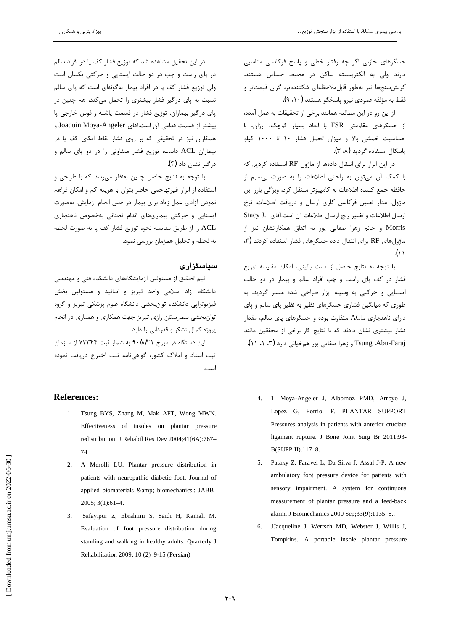حسگرهای خازنی اگر چه رفتار خطی و پاسخ فرکانسی مناسبی دارند ولی به الکتریسیته ساکن در محیط حساس هستند. كرنش سنجها نيز بهطور قابل ملاحظهاى شكنندهتر، گران قيمتتر و فقط به مؤلفه عمودي نيرو ياسخگو هستند (١٠، ٩).

از این رو در این مطالعه همانند برخی از تحقیقات به عمل آمده، از حسگرهای مقاومتی FSR با ابعاد بسیار کوچک، ارزان، با حساسيت خمشى بالا و ميزان تحمل فشار ١٠ تا ١٠٠٠ كيلو یاسکال استفاده گردید (۸، ۳).

در این ابزار برای انتقال دادهها از ماژول RF استفاده کردیم که با کمک آن میتوان به راحتی اطلاعات را به صورت بیسیم از حافظه جمع كننده اطلاعات به كامپيوتر منتقل كرد. ويژگي بارز اين ماژول، مدار تعيين فركانس كارى ارسال و دريافت اطلاعات، نرخ Stacy J. ارسال اطلاعات وتغيير رنج ارسال اطلاعات آن است.آقاى Morris وخانم زهرا صفايي پور به اتفاق همكارانشان نيز از  $k$ ۴) ماژولهای RF برای انتقال داده حسگرهای فشار استفاده کردند . $( \wedge$ 

با توجه به نتايج حاصل از تست باليني، امكان مقايسه توزيع فشار در كف پاى راست و چپ افراد سالم و بيمار در دو حالت ایستایی و حرکتی به وسیله ابزار طراحی شده میسر گردید. به طوری که میانگین فشاری حسگرهای نظیر به نظیر پای سالم و پای دارای ناهنجاری ACL متفاوت بوده و حسگرهای پای سالم، مقدار فشار بیشتری نشان دادند که با نتایج کار برخی از محققین مانند Tsung ،Abu-Faraj و زهرا صفایی پور همخوانی دارد (۳، ۱، ۱۱).

- 4. 1. Moya-Angeler J, Albornoz PMD, Arroyo J, Lopez G, Forriol F. PLANTAR SUPPORT Pressures analysis in patients with anterior cruciate ligament rupture. J Bone Joint Surg Br 2011;93- B(SUPP II):117–8.
- 5. Pataky Z, Faravel L, Da Silva J, Assal J-P. A new ambulatory foot pressure device for patients with sensory impairment. A system for continuous measurement of plantar pressure and a feed-back alarm. J Biomechanics 2000 Sep;33(9):1135–8..
- 6. JJacqueline J, Wertsch MD, Webster J, Willis J, Tompkins. A portable insole plantar pressure

در این تحقیق مشاهده شد که توزیع فشار کف یا در افراد سالم در پای راست و چپ در دو حالت ایستایی و حرکتی یکسان است ولی توزیع فشار کف پا در افراد بیمار بهگونهای است که پای سالم نسبت به یای درگیر فشار بیشتری را تحمل میکند. هم چنین در پای درگیر بیماران، توزیع فشار در قسمت پاشنه و قوس خارجی پا بيشتر از قسمت قدامى آن است.آقاى Joaquin Moya-Angeler و همکاران نیز در تحقیقی که بر روی فشار نقاط اتکای کف پا در بيماران ACL داشت، توزيع فشار متفاوتي را در دو پاى سالم و د<sub>ر</sub> گیر نشان داد (۴**)**.

با توجه به نتايج حاصل چنين بهنظر مي سد كه با طراحي و استفاده از ابزار غيرتهاجمي حاضر بتوان با هزينه كم و امكان فراهم نمودن آزادي عمل زياد براي بيمار در حين انجام آزمايش، بهصورت ایستایی و حرکتی بیماریهای اندام تحتانی بهخصوص ناهنجاری را از طريق مقايسه نحوه توزيع فشار كف پا به صورت لحظه به لحظه و تحلیل همزمان بررسی نمود.

## **سیاسگزاری**

تیم تحقیق از مسئولین آزمایشگاههای دانشکده فنی و مهندسی دانشگاه آزاد اسلامی واحد تبریز و اساتید و مسئولین بخش فیزیوتراپی دانشکده توانبخشی دانشگاه علوم پزشکی تبریز و گروه توان بخشی بیمارستان رازی تبریز جهت همکاری و همیاری در انجام پروژه کمال تشکر و قدردانی را دارد.

این دستگاه در مورخ ۹۰/۸/۲۱ به شمار ثبت ۷۲۳۴۴ از سازمان ثبت اسناد و املاک کشور، گواهی نامه ثبت اختراع دریافت نموده است.

## **References:**

- 1. Tsung BYS, Zhang M, Mak AFT, Wong MWN. Effectiveness of insoles on plantar pressure redistribution. J Rehabil Res Dev 2004;41(6A):767– 74
- 2. A Merolli LU. Plantar pressure distribution in patients with neuropathic diabetic foot. Journal of applied biomaterials & amp; biomechanics : JABB 2005; 3(1):61–4.
- 3. Safayipur Z, Ebrahimi S, Saidi H, Kamali M. Evaluation of foot pressure distribution during standing and walking in healthy adults. Quarterly J Rehabilitation 2009; 10 (2) :9-15 (Persian)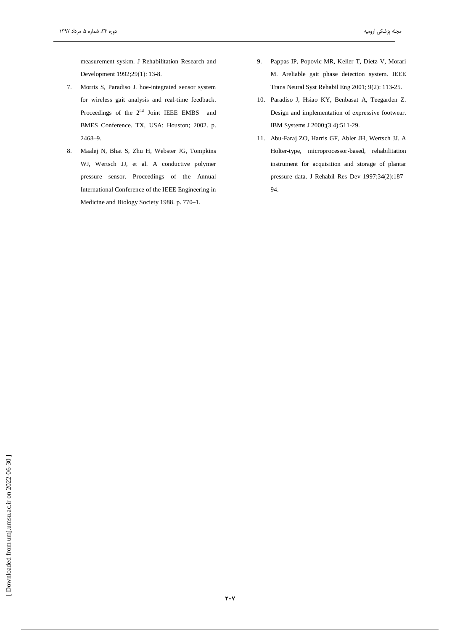measurement syskm. J Rehabilitation Research and Development 1992;29(1): 13-8.

- 7. Morris S, Paradiso J. hoe-integrated sensor system for wireless gait analysis and real-time feedback. Proceedings of the 2<sup>nd</sup> Joint IEEE EMBS and BMES Conference. TX, USA: Houston; 2002. p.  $2468 - 9.$
- Maalej N, Bhat S, Zhu H, Webster JG, Tompkins 8. WJ, Wertsch JJ, et al. A conductive polymer pressure sensor. Proceedings of the Annual International Conference of the IEEE Engineering in Medicine and Biology Society 1988. p. 770-1.
- Pappas IP, Popovic MR, Keller T, Dietz V, Morari 9. M. Areliable gait phase detection system. IEEE Trans Neural Syst Rehabil Eng 2001; 9(2): 113-25.
- 10. Paradiso J, Hsiao KY, Benbasat A, Teegarden Z. Design and implementation of expressive footwear. IBM Systems J 2000;(3.4):511-29.
- 11. Abu-Faraj ZO, Harris GF, Abler JH, Wertsch JJ. A Holter-type, microprocessor-based, rehabilitation instrument for acquisition and storage of plantar pressure data. J Rehabil Res Dev 1997;34(2):187-94.